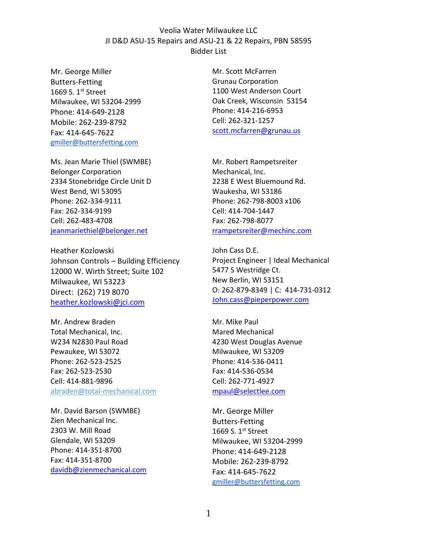## Veolia Water Milwaukee LLC JI D&D ASU-15 Repairs and ASU-21 & 22 Repairs, PBN 58595 Bidder List

Mr. George Miller Butters-Fetting 1669 S.  $1<sup>st</sup>$  Street Milwaukee, WI 53204-2999 Phone: 414-649-2128 Mobile: 262-239-8792 Fax: 414-645-7622 gmiller@buttersfetting.com

Ms. Jean Marie Thiel (SWMBE) Belonger Corporation 2334 Stonebridge Circle Unit D West Bend, WI 53095 Phone: 262-334-9111 Fax: 262-334-9199 Cell: 262-483-4708 jeanmariethiel@belonger.net

Heather Kozlowski Johnson Controls – Building Efficiency 12000 W. Wirth Street; Suite 102 Milwaukee, WI 53223 Direct: (262) 719 8070 heather.kozlowski@jci.com

Mr. Andrew Braden Total Mechanical, Inc. W234 N2830 Paul Road Pewaukee, WI 53072 Phone: 262-523-2525 Fax: 262-523-2530 Cell: 414-881-9896 abraden@total-mechanical.com

Mr. David Barson (SWMBE) Zien Mechanical Inc. 2303 W. Mill Road Glendale, WI 53209 Phone: 414-351-8700 Fax: 414-351-8700 davidb@zienmechanical.com Mr. Scott McFarren Grunau Corporation 1100 West Anderson Court Oak Creek, Wisconsin 53154 Phone: 414-216-6953 Cell: 262-321-1257 scott.mcfarren@grunau.us

Mr. Robert Rampetsreiter Mechanical, Inc. 2238 E West Bluemound Rd. Waukesha, WI 53186 Phone: 262-798-8003 x106 Cell: 414-704-1447 Fax: 262-798-8077 rrampetsreiter@mechinc.com

John Cass D.E. Project Engineer | Ideal Mechanical 5477 S Westridge Ct. New Berlin, WI 53151 O: 262-879-8349 | C: 414-731-0312 John.cass@pieperpower.com

Mr. Mike Paul Mared Mechanical 4230 West Douglas Avenue Milwaukee, WI 53209 Phone: 414-536-0411 Fax: 414-536-0534 Cell: 262-771-4927 mpaul@selectlee.com

Mr. George Miller Butters-Fetting 1669 S. 1st Street Milwaukee, WI 53204-2999 Phone: 414-649-2128 Mobile: 262-239-8792 Fax: 414-645-7622 gmiller@buttersfetting.com